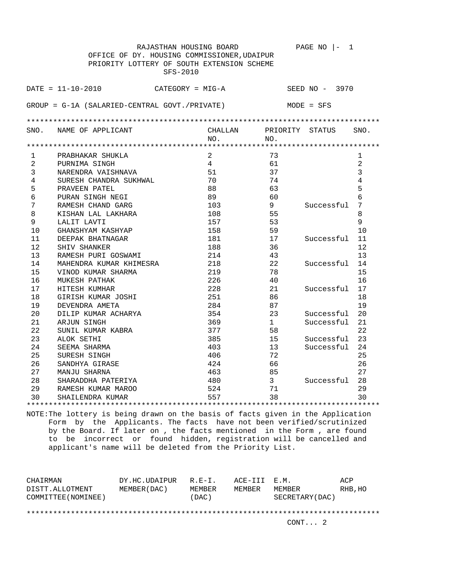|                                             | RAJASTHAN HOUSING BOARD                         |                |                 | PAGE NO<br>1<br>$\vert -$ |                |
|---------------------------------------------|-------------------------------------------------|----------------|-----------------|---------------------------|----------------|
| OFFICE OF DY. HOUSING COMMISSIONER, UDAIPUR |                                                 |                |                 |                           |                |
|                                             | PRIORITY LOTTERY OF SOUTH EXTENSION SCHEME      |                |                 |                           |                |
|                                             | SFS-2010                                        |                |                 |                           |                |
|                                             | $DATA = 11 - 10 - 2010$                         |                |                 |                           |                |
|                                             | CATEGORY = MIG-A                                |                |                 | SEED NO - 3970            |                |
|                                             | $GROUP = G-1A (SALARIED-CENTRAL GOUT./PREVATE)$ |                |                 | $MODE = SFS$              |                |
|                                             |                                                 |                |                 |                           |                |
|                                             |                                                 |                |                 |                           |                |
| SNO.                                        | NAME OF APPLICANT                               | CHALLAN        | PRIORITY STATUS |                           | SNO.           |
|                                             |                                                 | NO.            | NO.             |                           |                |
| $\mathbf{1}$                                | PRABHAKAR SHUKLA                                | $\overline{2}$ | 73              |                           | 1              |
| 2                                           | PURNIMA SINGH                                   | $\overline{4}$ | 61              |                           | 2              |
| 3                                           | NARENDRA VAISHNAVA                              | 51             | 37              |                           | 3              |
| $\overline{4}$                              | SURESH CHANDRA SUKHWAL                          | 70             | 74              |                           | $\overline{4}$ |
| 5                                           | PRAVEEN PATEL                                   | 88             | 63              |                           | 5              |
| 6                                           | PURAN SINGH NEGI                                | 89             | 60              |                           | 6              |
| 7                                           | RAMESH CHAND GARG                               | 103            | 9               | Successful                | 7              |
| 8                                           | KISHAN LAL LAKHARA                              | 108            | 55              |                           | 8              |
| 9                                           | LALIT LAVTI                                     | 157            | 53              |                           | 9              |
| 10                                          | GHANSHYAM KASHYAP                               | 158            | 59              |                           | 10             |
| 11                                          | DEEPAK BHATNAGAR                                | 181            | 17              | Successful                | 11             |
| 12                                          | SHIV SHANKER                                    | 188            | 36              |                           | 12             |
| 13                                          | RAMESH PURI GOSWAMI                             | 214            | 43              |                           | 13             |
| 14                                          | MAHENDRA KUMAR KHIMESRA                         | 218            | 22              | Successful                | 14             |
| 15                                          | VINOD KUMAR SHARMA                              | 219            | 78              |                           | 15             |
| 16                                          | MUKESH PATHAK                                   | 226            | 40              |                           | 16             |
| 17                                          | HITESH KUMHAR                                   | 228            | 21              | Successful                | 17             |
| 18                                          | GIRISH KUMAR JOSHI                              | 251            | 86              |                           | 18             |
| 19                                          | DEVENDRA AMETA                                  | 284            | 87              |                           | 19             |
| 20                                          | DILIP KUMAR ACHARYA                             | 354            | 23              | Successful                | 20             |
| 21                                          | ARJUN SINGH                                     | 369            | $\mathbf{1}$    | Successful                | 21             |
| 22                                          | SUNIL KUMAR KABRA                               | 377            | 58              |                           | 22             |
| 23                                          | ALOK SETHI                                      | 385            | 15              | Successful                | 23             |
| 24                                          | SEEMA SHARMA                                    | 403            | 13              | Successful                | 24             |
| 25                                          | SURESH SINGH                                    | 406            | 72              |                           | 25             |
| 26                                          | SANDHYA GIRASE                                  | 424            | 66              |                           | 26             |
| 27                                          | MANJU SHARNA                                    | 463            | 85              |                           | 27             |
| 28                                          | SHARADDHA PATERIYA                              | 480            | $\mathbf{3}$    | Successful                | 28             |
| 29                                          | RAMESH KUMAR MAROO                              | 524            | 71              |                           | 29             |
| 30                                          | SHAILENDRA KUMAR                                | 557            | 38              |                           | 30             |
|                                             |                                                 |                |                 |                           |                |

| CHAIRMAN<br>DISTT.ALLOTMENT | DY.HC.UDAIPUR<br>MEMBER (DAC ) | $R.F - T$ .<br>MEMBER | ACE-III E.M.<br>MEMBER | MEMBER          | ACP<br>RHB, HO |  |
|-----------------------------|--------------------------------|-----------------------|------------------------|-----------------|----------------|--|
| COMMITTEE (NOMINEE)         |                                | (DAC)                 |                        | SECRETARY (DAC) |                |  |
| CONT. 2                     |                                |                       |                        |                 |                |  |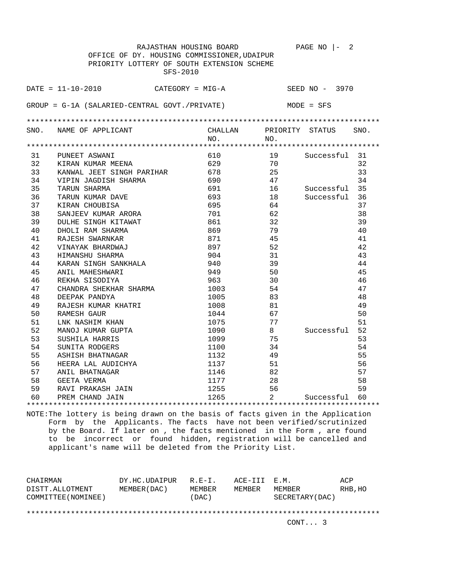|      | RAJASTHAN HOUSING BOARD                         |         |     | PAGE NO $ -$<br>2 |      |
|------|-------------------------------------------------|---------|-----|-------------------|------|
|      | OFFICE OF DY. HOUSING COMMISSIONER, UDAIPUR     |         |     |                   |      |
|      | PRIORITY LOTTERY OF SOUTH EXTENSION SCHEME      |         |     |                   |      |
|      | SFS-2010                                        |         |     |                   |      |
|      |                                                 |         |     |                   |      |
|      | $DATA = 11 - 10 - 2010$<br>CATEGORY = MIG-A     |         |     | SEED NO - 3970    |      |
|      |                                                 |         |     |                   |      |
|      | $GROUP = G-1A (SALARIED-CENTRAL GOUT./PREVATE)$ |         |     | $MODE = SFS$      |      |
|      |                                                 |         |     |                   |      |
|      |                                                 |         |     |                   |      |
| SNO. | NAME OF APPLICANT                               | CHALLAN |     | PRIORITY STATUS   | SNO. |
|      |                                                 | NO.     | NO. |                   |      |
|      |                                                 |         |     |                   |      |
| 31   | PUNEET ASWANI                                   | 610     | 19  | Successful        | 31   |
| 32   | KIRAN KUMAR MEENA                               | 629     | 70  |                   | 32   |
| 33   | KANWAL JEET SINGH PARIHAR                       | 678     | 25  |                   | 33   |
| 34   | VIPIN JAGDISH SHARMA                            | 690     | 47  |                   | 34   |
| 35   | TARUN SHARMA                                    | 691     | 16  | Successful        | 35   |
| 36   | TARUN KUMAR DAVE                                | 693     | 18  | Successful        | 36   |
| 37   | KIRAN CHOUBISA                                  | 695     | 64  |                   | 37   |
| 38   | SANJEEV KUMAR ARORA                             | 701     | 62  |                   | 38   |
| 39   | DULHE SINGH KITAWAT                             | 861     | 32  |                   | 39   |
| 40   | DHOLI RAM SHARMA                                | 869     | 79  |                   | 40   |
| 41   | RAJESH SWARNKAR                                 | 871     | 45  |                   | 41   |
| 42   | VINAYAK BHARDWAJ                                | 897     | 52  |                   | 42   |
| 43   | HIMANSHU SHARMA                                 | 904     | 31  |                   | 43   |
| 44   | KARAN SINGH SANKHALA                            | 940     | 39  |                   | 44   |
| 45   | ANIL MAHESHWARI                                 | 949     | 50  |                   | 45   |
| 46   | REKHA SISODIYA                                  | 963     | 30  |                   | 46   |
| 47   | CHANDRA SHEKHAR SHARMA                          | 1003    | 54  |                   | 47   |
| 48   | DEEPAK PANDYA                                   | 1005    | 83  |                   | 48   |
| 49   | RAJESH KUMAR KHATRI                             | 1008    | 81  |                   | 49   |
| 50   | RAMESH GAUR                                     | 1044    | 67  |                   | 50   |
| 51   | LNK NASHIM KHAN                                 | 1075    | 77  |                   | 51   |
| 52   | MANOJ KUMAR GUPTA                               | 1090    | 8   | Successful        | 52   |
| 53   | SUSHILA HARRIS                                  | 1099    | 75  |                   | 53   |
| 54   | SUNITA RODGERS                                  | 1100    | 34  |                   | 54   |
| 55   | ASHISH BHATNAGAR                                | 1132    | 49  |                   | 55   |
| 56   | HEERA LAL AUDICHYA                              | 1137    | 51  |                   | 56   |
| 57   | ANIL BHATNAGAR                                  | 1146    | 82  |                   | 57   |
| 58   | GEETA VERMA                                     | 1177    | 28  |                   | 58   |
| 59   | RAVI PRAKASH JAIN                               | 1255    | 56  |                   | 59   |
| 60   | PREM CHAND JAIN                                 | 1265    | 2   | Successful        | 60   |
|      |                                                 |         |     |                   |      |

| CHAIRMAN<br>DISTT.ALLOTMENT<br>COMMITTEE (NOMINEE) | DY.HC.UDAIPUR<br>MEMBER (DAC) | $R.F - T$ .<br>MEMBER<br>(DAC) | ACE-III E.M.<br>MEMBER | MEMBER<br>SECRETARY (DAC) | ACP<br>RHB, HO |
|----------------------------------------------------|-------------------------------|--------------------------------|------------------------|---------------------------|----------------|
|                                                    |                               |                                |                        | CONT 3                    |                |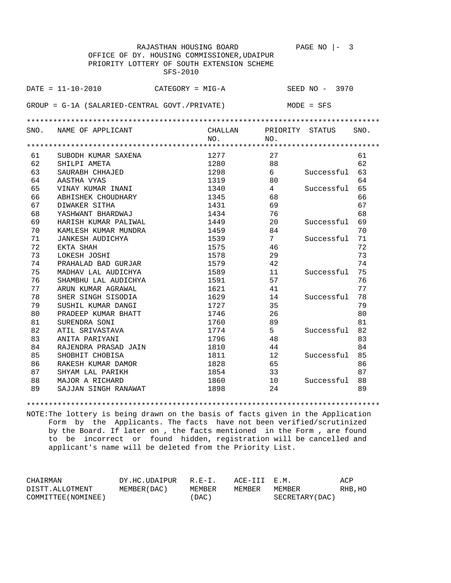|      |                                                  | RAJASTHAN HOUSING BOARD                     |                 | PAGE NO        | 3    |
|------|--------------------------------------------------|---------------------------------------------|-----------------|----------------|------|
|      |                                                  | OFFICE OF DY. HOUSING COMMISSIONER, UDAIPUR |                 |                |      |
|      |                                                  | PRIORITY LOTTERY OF SOUTH EXTENSION SCHEME  |                 |                |      |
|      |                                                  | SFS-2010                                    |                 |                |      |
|      |                                                  |                                             |                 |                |      |
|      | $DATA = 11 - 10 - 2010$                          | $CATEGORY = MIG-A$                          |                 | SEED NO - 3970 |      |
|      |                                                  |                                             |                 |                |      |
|      | $GROUP = G-1A (SALARIED-CENTRAL GOUT./PRIVARIE)$ |                                             |                 | $MODE = SFS$   |      |
|      |                                                  |                                             |                 |                |      |
|      |                                                  |                                             |                 |                |      |
| SNO. | NAME OF APPLICANT                                | CHALLAN                                     | PRIORITY        | STATUS         | SNO. |
|      |                                                  | NO.                                         | NO.             |                |      |
|      |                                                  |                                             |                 |                |      |
| 61   | SUBODH KUMAR SAXENA                              | 1277                                        | 27              |                | 61   |
| 62   | SHILPI AMETA                                     | 1280                                        | 88              |                | 62   |
| 63   | SAURABH CHHAJED                                  | 1298                                        | 6               | Successful     | 63   |
| 64   | AASTHA VYAS                                      | 1319                                        | 80              |                | 64   |
| 65   | VINAY KUMAR INANI                                | 1340                                        | $4\overline{ }$ | Successful     | 65   |
| 66   | ABHISHEK CHOUDHARY                               | 1345                                        | 68              |                | 66   |
| 67   | DIWAKER SITHA                                    | 1431                                        | 69              |                | 67   |
| 68   | YASHWANT BHARDWAJ                                | 1434                                        | 76              |                | 68   |
| 69   | HARISH KUMAR PALIWAL                             | 1449                                        | 20              | Successful     | 69   |
| 70   | KAMLESH KUMAR MUNDRA                             | 1459                                        | 84              |                | 70   |
| 71   | <b>JANKESH AUDICHYA</b>                          | 1539                                        | 7               | Successful     | 71   |
| 72   | EKTA SHAH                                        | 1575                                        | 46              |                | 72   |
| 73   | LOKESH JOSHI                                     | 1578                                        | 29              |                | 73   |
| 74   | PRAHALAD BAD GURJAR                              | 1579                                        | 42              |                | 74   |
| 75   | MADHAV LAL AUDICHYA                              | 1589                                        | 11              | Successful     | 75   |
| 76   | SHAMBHU LAL AUDICHYA                             | 1591                                        | 57              |                | 76   |
| 77   | ARUN KUMAR AGRAWAL                               | 1621                                        | 41              |                | 77   |
| 78   | SHER SINGH SISODIA                               | 1629                                        | 14              | Successful     | 78   |
| 79   | SUSHIL KUMAR DANGI                               | 1727                                        | 35              |                | 79   |
| 80   | PRADEEP KUMAR BHATT                              | 1746                                        | 26              |                | 80   |
| 81   | SURENDRA SONI                                    | 1760                                        | 89              |                | 81   |
| 82   | ATIL SRIVASTAVA                                  | 1774                                        | 5               | Successful     | 82   |
| 83   | ANITA PARIYANI                                   | 1796                                        | 48              |                | 83   |
| 84   | RAJENDRA PRASAD JAIN                             | 1810                                        | 44              |                | 84   |
| 85   | SHOBHIT CHOBISA                                  | 1811                                        | 12              | Successful     | 85   |
| 86   | RAKESH KUMAR DAMOR                               | 1828                                        | 65              |                | 86   |
| 87   | SHYAM LAL PARIKH                                 | 1854                                        | 33              |                | 87   |
| 88   | MAJOR A RICHARD                                  | 1860                                        | 10              | Successful     | 88   |
| 89   | SAJJAN SINGH RANAWAT                             | 1898                                        | 24              |                | 89   |

\*\*\*\*\*\*\*\*\*\*\*\*\*\*\*\*\*\*\*\*\*\*\*\*\*\*\*\*\*\*\*\*\*\*\*\*\*\*\*\*\*\*\*\*\*\*\*\*\*\*\*\*\*\*\*\*\*\*\*\*\*\*\*\*\*\*\*\*\*\*\*\*\*\*\*\*\*\*\*\*

| CHAIRMAN            | DY.HC.UDAIPUR | $R.F-T$   | ACE-III E.M. |                 | ACP     |
|---------------------|---------------|-----------|--------------|-----------------|---------|
| DISTT.ALLOTMENT     | MEMBER (DAC ) | MEMBER    | MEMBER       | MEMBER          | RHB, HO |
| COMMITTEE (NOMINEE) |               | $'$ DAC ) |              | SECRETARY (DAC) |         |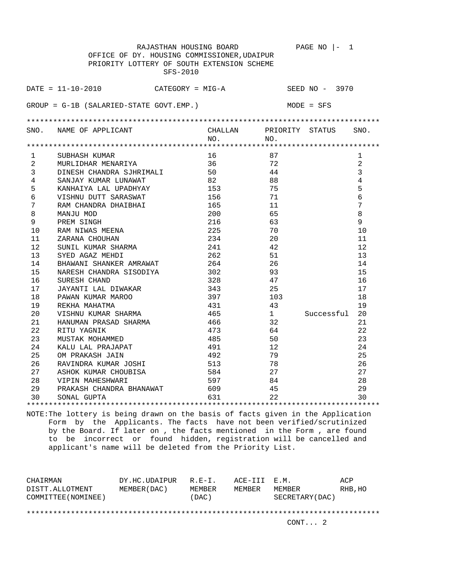|                | RAJASTHAN HOUSING BOARD                     |            |          | PAGE NO<br>$\mathbf{1}$<br>$\vert -$ |                |
|----------------|---------------------------------------------|------------|----------|--------------------------------------|----------------|
|                | OFFICE OF DY. HOUSING COMMISSIONER, UDAIPUR |            |          |                                      |                |
|                | PRIORITY LOTTERY OF SOUTH EXTENSION SCHEME  |            |          |                                      |                |
|                | SFS-2010                                    |            |          |                                      |                |
|                |                                             |            |          |                                      |                |
|                | $DATA = 11 - 10 - 2010$<br>CATEGORY = MIG-A |            |          | SEED NO - 3970                       |                |
|                |                                             |            |          |                                      |                |
|                | $GROUP = G-1B (SALARIED-STATE GOUT. EMP.)$  |            |          | MODE = SFS                           |                |
|                |                                             |            |          |                                      |                |
|                | SNO. NAME OF APPLICANT                      | CHALLAN    |          | PRIORITY STATUS                      | SNO.           |
|                |                                             | NO.        | NO.      |                                      |                |
|                |                                             |            |          |                                      |                |
| $\mathbf{1}$   | SUBHASH KUMAR                               | 16         | 87       |                                      | $\mathbf{1}$   |
| $\overline{2}$ | MURLIDHAR MENARIYA                          | 36         | 72       |                                      | $\overline{a}$ |
| 3              | DINESH CHANDRA SJHRIMALI                    | 50         | 44       |                                      | 3              |
| 4              | SANJAY KUMAR LUNAWAT                        | 82         | 88       |                                      | $\overline{4}$ |
| 5              | KANHAIYA LAL UPADHYAY                       | 153        | 75       |                                      | 5              |
| 6              | VISHNU DUTT SARASWAT                        | 156        | 71       |                                      | 6              |
| 7              | RAM CHANDRA DHAIBHAI                        | 165        | 11       |                                      | 7              |
| 8              | MANJU MOD                                   | 200        | 65       |                                      | 8              |
| 9              | PREM SINGH                                  | 216        | 63       |                                      | 9              |
| 10             | RAM NIWAS MEENA                             | 225        | 70       |                                      | 10             |
| 11             | ZARANA CHOUHAN                              | 234        | 20       |                                      | 11             |
| 12             | SUNIL KUMAR SHARMA                          | 241        | 42       |                                      | 12             |
| 13             | SYED AGAZ MEHDI                             | 262        | 51       |                                      | 13             |
| 14             | BHAWANI SHANKER AMRAWAT                     | 264        | 26       |                                      | 14             |
| 15             | NARESH CHANDRA SISODIYA                     | 302        | 93       |                                      | 15             |
| 16             | SURESH CHAND                                | 328        | 47       |                                      | 16             |
| 17             | JAYANTI LAL DIWAKAR                         | 343        | 25       |                                      | 17             |
| 18             | PAWAN KUMAR MAROO                           | 397        | 103      |                                      | 18             |
| 19             | REKHA MAHATMA                               | 431        | 43       |                                      | 19             |
| 20             | VISHNU KUMAR SHARMA                         | 465        | 1        | Successful                           | 20             |
| 21             | HANUMAN PRASAD SHARMA                       | 466        | 32       |                                      | 21             |
| 22             | RITU YAGNIK                                 | 473        | 64       |                                      | 22             |
| 23             | MUSTAK MOHAMMED                             | 485        | 50       |                                      | 23             |
| 24             | KALU LAL PRAJAPAT                           | 491        | 12       |                                      | 24             |
| 25             | OM PRAKASH JAIN                             | 492        | 79       |                                      | 25             |
| 26             | RAVINDRA KUMAR JOSHI                        | 513        | 78       |                                      | 26             |
| 27             | ASHOK KUMAR CHOUBISA                        | 584        | 27       |                                      | 27             |
| 28             | VIPIN MAHESHWARI                            | 597        | 84       |                                      | 28             |
| 29<br>30       | PRAKASH CHANDRA BHANAWAT                    | 609<br>631 | 45<br>22 |                                      | 29<br>30       |
|                | SONAL GUPTA                                 |            |          |                                      |                |
|                |                                             |            |          |                                      |                |

| CHAIRMAN<br>DISTT.ALLOTMENT | DY.HC.UDAIPUR<br>MEMBER (DAC) | $R.F - T$ .<br>MEMBER | ACE-III E.M.<br>MEMBER | MEMBER          | ACP<br>RHB, HO |
|-----------------------------|-------------------------------|-----------------------|------------------------|-----------------|----------------|
| COMMITTEE (NOMINEE)         |                               | (DAC)                 |                        | SECRETARY (DAC) |                |
|                             |                               |                       |                        | CONT. 2         |                |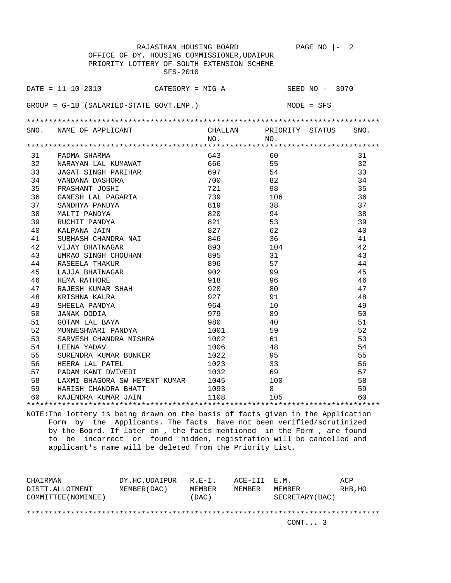|                                             | RAJASTHAN HOUSING BOARD                                               |      | PAGE NO $ -$<br>$\overline{\phantom{0}}^2$ |      |  |  |  |
|---------------------------------------------|-----------------------------------------------------------------------|------|--------------------------------------------|------|--|--|--|
| OFFICE OF DY. HOUSING COMMISSIONER, UDAIPUR |                                                                       |      |                                            |      |  |  |  |
|                                             | PRIORITY LOTTERY OF SOUTH EXTENSION SCHEME                            |      |                                            |      |  |  |  |
|                                             | SFS-2010                                                              |      |                                            |      |  |  |  |
|                                             |                                                                       |      |                                            |      |  |  |  |
|                                             | $\texttt{DATE} = 11 - 10 - 2010$ $\texttt{CATEGORY} = \texttt{MIG-A}$ |      | SEED NO - 3970                             |      |  |  |  |
|                                             |                                                                       |      |                                            |      |  |  |  |
|                                             | $GROUP = G-1B (SALARIED-STATE GOUT. EMP.)$                            |      | MODE = SFS                                 |      |  |  |  |
|                                             |                                                                       |      |                                            |      |  |  |  |
|                                             | SNO. NAME OF APPLICANT                                                |      | CHALLAN PRIORITY STATUS                    | SNO. |  |  |  |
|                                             |                                                                       | NO.  | NO.                                        |      |  |  |  |
|                                             |                                                                       |      |                                            |      |  |  |  |
| 31                                          | PADMA SHARMA                                                          | 643  | 60                                         | 31   |  |  |  |
| 32                                          | NARAYAN LAL KUMAWAT                                                   | 666  | 55                                         | 32   |  |  |  |
| 33                                          | JAGAT SINGH PARIHAR                                                   | 697  | 54                                         | 33   |  |  |  |
| 34                                          | VANDANA DASHORA                                                       | 700  | 82                                         | 34   |  |  |  |
| 35                                          | PRASHANT JOSHI                                                        | 721  | 98                                         | 35   |  |  |  |
| 36                                          | GANESH LAL PAGARIA                                                    | 739  | 106                                        | 36   |  |  |  |
| 37                                          | SANDHYA PANDYA                                                        | 819  | 38                                         | 37   |  |  |  |
| 38                                          | MALTI PANDYA                                                          | 820  | 94                                         | 38   |  |  |  |
| 39                                          | RUCHIT PANDYA                                                         | 821  | 53                                         | 39   |  |  |  |
| 40                                          | KALPANA JAIN                                                          | 827  | 62                                         | 40   |  |  |  |
| 41                                          | SUBHASH CHANDRA NAI                                                   | 846  | 36                                         | 41   |  |  |  |
| 42                                          | VIJAY BHATNAGAR                                                       | 893  | 104                                        | 42   |  |  |  |
| 43                                          | UMRAO SINGH CHOUHAN                                                   | 895  | 31                                         | 43   |  |  |  |
| 44                                          | RASEELA THAKUR                                                        | 896  | 57                                         | 44   |  |  |  |
| 45                                          | LAJJA BHATNAGAR                                                       | 902  | 99                                         | 45   |  |  |  |
| 46                                          | HEMA RATHORE                                                          | 918  | 96                                         | 46   |  |  |  |
| 47                                          | RAJESH KUMAR SHAH                                                     | 920  | 80                                         | 47   |  |  |  |
| 48                                          | KRISHNA KALRA                                                         | 927  | 91                                         | 48   |  |  |  |
| 49                                          | SHEELA PANDYA                                                         | 964  | 10                                         | 49   |  |  |  |
| 50                                          | <b>JANAK DODIA</b>                                                    | 979  | 89                                         | 50   |  |  |  |
| 51                                          | GOTAM LAL BAYA                                                        | 980  | 40                                         | 51   |  |  |  |
| 52                                          | MUNNESHWARI PANDYA                                                    | 1001 | 59                                         | 52   |  |  |  |
| 53                                          | SARVESH CHANDRA MISHRA                                                | 1002 | 61                                         | 53   |  |  |  |
| 54                                          | LEENA YADAV                                                           | 1006 | 48                                         | 54   |  |  |  |
| 55                                          | SURENDRA KUMAR BUNKER                                                 | 1022 | 95                                         | 55   |  |  |  |
| 56                                          | HEERA LAL PATEL                                                       | 1023 | 33                                         | 56   |  |  |  |
| 57                                          | PADAM KANT DWIVEDI                                                    | 1032 | 69                                         | 57   |  |  |  |
| 58                                          | LAXMI BHAGORA SW HEMENT KUMAR                                         | 1045 | 100                                        | 58   |  |  |  |
| 59                                          | HARISH CHANDRA BHATT                                                  | 1093 | 8                                          | 59   |  |  |  |
| 60                                          | RAJENDRA KUMAR JAIN                                                   | 1108 | 105                                        | 60   |  |  |  |
|                                             |                                                                       |      |                                            |      |  |  |  |

| DY.HC.UDAIPUR |       |                       |         | ACP                                       |  |  |  |
|---------------|-------|-----------------------|---------|-------------------------------------------|--|--|--|
| MEMBER (DAC)  |       |                       |         | RHB, HO                                   |  |  |  |
|               | (DAC) |                       |         |                                           |  |  |  |
|               |       |                       |         |                                           |  |  |  |
|               |       |                       |         |                                           |  |  |  |
|               |       |                       | CONT. 3 |                                           |  |  |  |
|               |       | $R.F - T$ .<br>MEMBER | MEMBER  | ACE-III E.M.<br>MEMBER<br>SECRETARY (DAC) |  |  |  |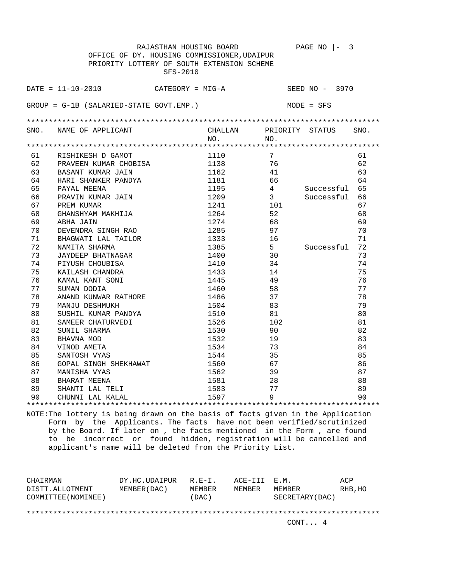|                                             | RAJASTHAN HOUSING BOARD                     |         |                 | PAGE NO $ -$<br>3 |      |
|---------------------------------------------|---------------------------------------------|---------|-----------------|-------------------|------|
| OFFICE OF DY. HOUSING COMMISSIONER, UDAIPUR |                                             |         |                 |                   |      |
|                                             | PRIORITY LOTTERY OF SOUTH EXTENSION SCHEME  |         |                 |                   |      |
|                                             | SFS-2010                                    |         |                 |                   |      |
|                                             |                                             |         |                 |                   |      |
|                                             | $DATA = 11 - 10 - 2010$<br>CATEGORY = MIG-A |         |                 | SEED NO - 3970    |      |
|                                             | $GROUP = G-1B (SALARIED-STATE GOVT. EMP.)$  |         |                 | $MODE = SFS$      |      |
|                                             |                                             |         |                 |                   |      |
|                                             |                                             |         |                 |                   |      |
|                                             | SNO. NAME OF APPLICANT                      | CHALLAN |                 | PRIORITY STATUS   | SNO. |
|                                             |                                             | NO.     | NO.             |                   |      |
|                                             |                                             |         |                 |                   |      |
| 61                                          | RISHIKESH D GAMOT                           | 1110    | $7\overline{ }$ |                   | 61   |
| 62                                          | PRAVEEN KUMAR CHOBISA                       | 1138    | 76              |                   | 62   |
| 63                                          | BASANT KUMAR JAIN                           | 1162    | 41              |                   | 63   |
| 64                                          | HARI SHANKER PANDYA                         | 1181    | 66              |                   | 64   |
| 65                                          | PAYAL MEENA                                 | 1195    | $4 \quad$       | Successful        | 65   |
| 66                                          | PRAVIN KUMAR JAIN                           | 1209    | 3 <sup>7</sup>  | Successful        | 66   |
| 67                                          | PREM KUMAR                                  | 1241    | 101             |                   | 67   |
| 68                                          | GHANSHYAM MAKHIJA                           | 1264    | 52              |                   | 68   |
| 69                                          | ABHA JAIN                                   | 1274    | 68              |                   | 69   |
| 70                                          | DEVENDRA SINGH RAO                          | 1285    | 97              |                   | 70   |
| 71                                          | BHAGWATI LAL TAILOR                         | 1333    | 16              |                   | 71   |
| 72                                          | NAMITA SHARMA                               | 1385    | $5 -$           | Successful        | 72   |
| 73                                          | JAYDEEP BHATNAGAR                           | 1400    | 30              |                   | 73   |
| 74                                          | PIYUSH CHOUBISA                             | 1410    | 34              |                   | 74   |
| 75                                          | KAILASH CHANDRA                             | 1433    | 14              |                   | 75   |
| 76                                          | KAMAL KANT SONI                             | 1445    | 49              |                   | 76   |
| 77                                          | SUMAN DODIA                                 | 1460    | 58              |                   | 77   |
| 78                                          | ANAND KUNWAR RATHORE                        | 1486    | 37              |                   | 78   |
| 79                                          | MANJU DESHMUKH                              | 1504    | 83              |                   | 79   |
| 80                                          | SUSHIL KUMAR PANDYA                         | 1510    | 81              |                   | 80   |
| 81                                          | SAMEER CHATURVEDI                           | 1526    | 102             |                   | 81   |
| 82                                          | SUNIL SHARMA                                | 1530    | 90              |                   | 82   |
| 83                                          | BHAVNA MOD                                  | 1532    | 19              |                   | 83   |
| 84                                          | VINOD AMETA                                 | 1534    | 73              |                   | 84   |
| 85                                          | SANTOSH VYAS                                | 1544    | 35              |                   | 85   |
| 86                                          | GOPAL SINGH SHEKHAWAT                       | 1560    | 67              |                   | 86   |
| 87                                          | MANISHA VYAS                                | 1562    | 39              |                   | 87   |
| 88                                          | BHARAT MEENA                                | 1581    | 28              |                   | 88   |
| 89                                          | SHANTI LAL TELI                             | 1583    | 77              |                   | 89   |
| 90                                          | CHUNNI LAL KALAL                            | 1597    | 9               |                   | 90   |
|                                             |                                             |         |                 |                   |      |

| CHAIRMAN                               | DY.HC.UDAIPUR | $R.F - T$ .     | ACE-III E.M. |                           | ACP     |  |  |
|----------------------------------------|---------------|-----------------|--------------|---------------------------|---------|--|--|
| DISTT.ALLOTMENT<br>COMMITTEE (NOMINEE) | MEMBER (DAC)  | MEMBER<br>(DAC) | MEMBER       | MEMBER<br>SECRETARY (DAC) | RHB, HO |  |  |
|                                        |               |                 |              |                           |         |  |  |
|                                        |               |                 |              |                           |         |  |  |
|                                        |               |                 |              | CONT 4                    |         |  |  |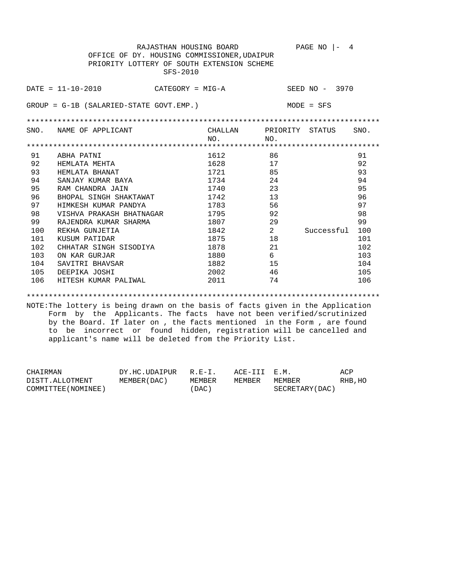| $DATA = 11 - 10 - 2010$<br>SEED NO - 3970<br>CATEGORY = MIG-A<br>$GROUP = G-1B (SALARIED-STATE GOUT. EMP.)$<br>$MODE = SFS$<br>PRIORITY STATUS<br>SNO. NAME OF APPLICANT<br>CHALLAN<br>SNO.<br>NO.<br>NO.<br>91<br>1612<br>86<br>91<br>ABHA PATNI<br>92<br>92<br>1628<br>17<br>HEMLATA MEHTA<br>93<br>93<br>1721<br>85<br>HEMLATA BHANAT<br>94<br>1734<br>24<br>94<br>SANJAY KUMAR BAYA<br>95<br>23<br>95<br>1740<br>RAM CHANDRA JAIN<br>13<br>96<br>96<br>1742<br>BHOPAL SINGH SHAKTAWAT<br>97<br>56<br>97<br>1783<br>HIMKESH KUMAR PANDYA<br>98<br>92<br>98<br>1795<br>VISHVA PRAKASH BHATNAGAR<br>99<br>99<br>29<br>1807<br>RAJENDRA KUMAR SHARMA<br>2<br>100<br>100<br>1842<br>Successful<br>REKHA GUNJETIA<br>101<br>18<br>1875<br>101<br>KUSUM PATIDAR<br>102<br>1878<br>21<br>102<br>CHHATAR SINGH SISODIYA<br>103<br>6<br>103<br>1880<br>ON KAR GURJAR<br>104<br>1882<br>15<br>SAVITRI BHAVSAR<br>104<br>46<br>105<br>2002<br>105<br>DEEPIKA JOSHI<br>74<br>106<br>HITESH KUMAR PALIWAL<br>2011<br>106 | RAJASTHAN HOUSING BOARD<br>OFFICE OF DY. HOUSING COMMISSIONER, UDAIPUR<br>PRIORITY LOTTERY OF SOUTH EXTENSION SCHEME<br>SFS-2010 |  | PAGE NO<br>4<br>$\Box$ |  |
|----------------------------------------------------------------------------------------------------------------------------------------------------------------------------------------------------------------------------------------------------------------------------------------------------------------------------------------------------------------------------------------------------------------------------------------------------------------------------------------------------------------------------------------------------------------------------------------------------------------------------------------------------------------------------------------------------------------------------------------------------------------------------------------------------------------------------------------------------------------------------------------------------------------------------------------------------------------------------------------------------------------|----------------------------------------------------------------------------------------------------------------------------------|--|------------------------|--|
|                                                                                                                                                                                                                                                                                                                                                                                                                                                                                                                                                                                                                                                                                                                                                                                                                                                                                                                                                                                                                |                                                                                                                                  |  |                        |  |
|                                                                                                                                                                                                                                                                                                                                                                                                                                                                                                                                                                                                                                                                                                                                                                                                                                                                                                                                                                                                                |                                                                                                                                  |  |                        |  |
|                                                                                                                                                                                                                                                                                                                                                                                                                                                                                                                                                                                                                                                                                                                                                                                                                                                                                                                                                                                                                |                                                                                                                                  |  |                        |  |
|                                                                                                                                                                                                                                                                                                                                                                                                                                                                                                                                                                                                                                                                                                                                                                                                                                                                                                                                                                                                                |                                                                                                                                  |  |                        |  |
|                                                                                                                                                                                                                                                                                                                                                                                                                                                                                                                                                                                                                                                                                                                                                                                                                                                                                                                                                                                                                |                                                                                                                                  |  |                        |  |
|                                                                                                                                                                                                                                                                                                                                                                                                                                                                                                                                                                                                                                                                                                                                                                                                                                                                                                                                                                                                                |                                                                                                                                  |  |                        |  |
|                                                                                                                                                                                                                                                                                                                                                                                                                                                                                                                                                                                                                                                                                                                                                                                                                                                                                                                                                                                                                |                                                                                                                                  |  |                        |  |
|                                                                                                                                                                                                                                                                                                                                                                                                                                                                                                                                                                                                                                                                                                                                                                                                                                                                                                                                                                                                                |                                                                                                                                  |  |                        |  |
|                                                                                                                                                                                                                                                                                                                                                                                                                                                                                                                                                                                                                                                                                                                                                                                                                                                                                                                                                                                                                |                                                                                                                                  |  |                        |  |
|                                                                                                                                                                                                                                                                                                                                                                                                                                                                                                                                                                                                                                                                                                                                                                                                                                                                                                                                                                                                                |                                                                                                                                  |  |                        |  |
|                                                                                                                                                                                                                                                                                                                                                                                                                                                                                                                                                                                                                                                                                                                                                                                                                                                                                                                                                                                                                |                                                                                                                                  |  |                        |  |
|                                                                                                                                                                                                                                                                                                                                                                                                                                                                                                                                                                                                                                                                                                                                                                                                                                                                                                                                                                                                                |                                                                                                                                  |  |                        |  |
|                                                                                                                                                                                                                                                                                                                                                                                                                                                                                                                                                                                                                                                                                                                                                                                                                                                                                                                                                                                                                |                                                                                                                                  |  |                        |  |
|                                                                                                                                                                                                                                                                                                                                                                                                                                                                                                                                                                                                                                                                                                                                                                                                                                                                                                                                                                                                                |                                                                                                                                  |  |                        |  |
|                                                                                                                                                                                                                                                                                                                                                                                                                                                                                                                                                                                                                                                                                                                                                                                                                                                                                                                                                                                                                |                                                                                                                                  |  |                        |  |
|                                                                                                                                                                                                                                                                                                                                                                                                                                                                                                                                                                                                                                                                                                                                                                                                                                                                                                                                                                                                                |                                                                                                                                  |  |                        |  |
|                                                                                                                                                                                                                                                                                                                                                                                                                                                                                                                                                                                                                                                                                                                                                                                                                                                                                                                                                                                                                |                                                                                                                                  |  |                        |  |
|                                                                                                                                                                                                                                                                                                                                                                                                                                                                                                                                                                                                                                                                                                                                                                                                                                                                                                                                                                                                                |                                                                                                                                  |  |                        |  |
|                                                                                                                                                                                                                                                                                                                                                                                                                                                                                                                                                                                                                                                                                                                                                                                                                                                                                                                                                                                                                |                                                                                                                                  |  |                        |  |
|                                                                                                                                                                                                                                                                                                                                                                                                                                                                                                                                                                                                                                                                                                                                                                                                                                                                                                                                                                                                                |                                                                                                                                  |  |                        |  |

\*\*\*\*\*\*\*\*\*\*\*\*\*\*\*\*\*\*\*\*\*\*\*\*\*\*\*\*\*\*\*\*\*\*\*\*\*\*\*\*\*\*\*\*\*\*\*\*\*\*\*\*\*\*\*\*\*\*\*\*\*\*\*\*\*\*\*\*\*\*\*\*\*\*\*\*\*\*\*\* NOTE:The lottery is being drawn on the basis of facts given in the Application Form by the Applicants. The facts have not been verified/scrutinized by the Board. If later on , the facts mentioned in the Form , are found to be incorrect or found hidden, registration will be cancelled and applicant's name will be deleted from the Priority List.

| CHAIRMAN            | DY.HC.UDAIPUR | $R.F-T$ | ACE-III E.M. |                 | ACP     |
|---------------------|---------------|---------|--------------|-----------------|---------|
| DISTT.ALLOTMENT     | MEMBER (DAC ) | MEMBER  | MEMBER       | MEMBER          | RHB, HO |
| COMMITTEE (NOMINEE) |               | 'DAC)   |              | SECRETARY (DAC) |         |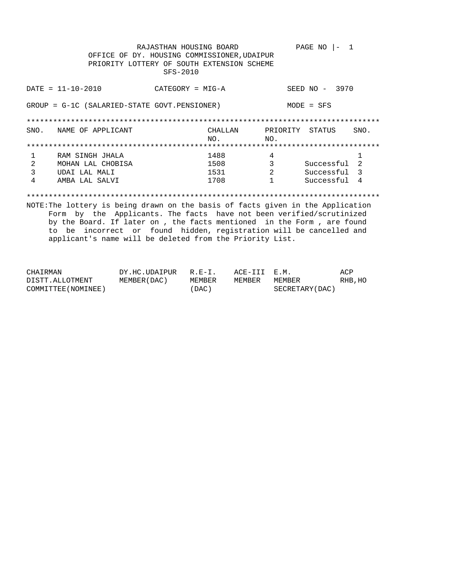|                                                                                 | RAJASTHAN HOUSING BOARD                    |          | PAGE NO                      |  |  |  |
|---------------------------------------------------------------------------------|--------------------------------------------|----------|------------------------------|--|--|--|
| OFFICE OF DY. HOUSING COMMISSIONER, UDAIPUR                                     |                                            |          |                              |  |  |  |
|                                                                                 | PRIORITY LOTTERY OF SOUTH EXTENSION SCHEME |          |                              |  |  |  |
|                                                                                 | SFS-2010                                   |          |                              |  |  |  |
|                                                                                 |                                            |          |                              |  |  |  |
| $DATA - 10 - 2010$                                                              | $CATEGORY = MIG-A$                         |          | SEED NO - 3970               |  |  |  |
|                                                                                 |                                            |          |                              |  |  |  |
| GROUP = G-1C (SALARIED-STATE GOVT.PENSIONER)                                    |                                            |          | $MODE = SFS$                 |  |  |  |
|                                                                                 |                                            |          |                              |  |  |  |
|                                                                                 |                                            |          |                              |  |  |  |
| NAME OF APPLICANT<br>SNO.                                                       | CHALLAN                                    | PRIORITY | SNO.<br>STATUS               |  |  |  |
|                                                                                 | NO.                                        | NO.      |                              |  |  |  |
|                                                                                 |                                            |          |                              |  |  |  |
| 1<br>RAM SINGH JHALA                                                            | 1488                                       | 4        | 1                            |  |  |  |
| 2<br>MOHAN LAL CHOBISA                                                          | 1508                                       | 3        | $\mathfrak{D}$<br>Successful |  |  |  |
| 3<br>UDAI LAL MALI                                                              | 1531                                       | 2        | Successful 3                 |  |  |  |
| 4<br>AMBA LAL SALVI                                                             | 1708                                       |          | Successful<br>-4             |  |  |  |
|                                                                                 |                                            |          |                              |  |  |  |
|                                                                                 |                                            |          |                              |  |  |  |
| NOTE: The lottery is being drawn on the basis of facts given in the Application |                                            |          |                              |  |  |  |

Form by the Applicants. The facts have not been verified/scrutinized by the Board. If later on , the facts mentioned in the Form , are found to be incorrect or found hidden, registration will be cancelled and applicant's name will be deleted from the Priority List.

| CHAIRMAN            | DY.HC.UDAIPUR | $R. E - T.$ | ACE-III E.M. |                 | ACP     |
|---------------------|---------------|-------------|--------------|-----------------|---------|
| DISTT.ALLOTMENT     | MEMBER (DAC ) | MEMBER      | MEMBER       | MEMBER          | RHB, HO |
| COMMITTEE (NOMINEE) |               | (DAC)       |              | SECRETARY (DAC) |         |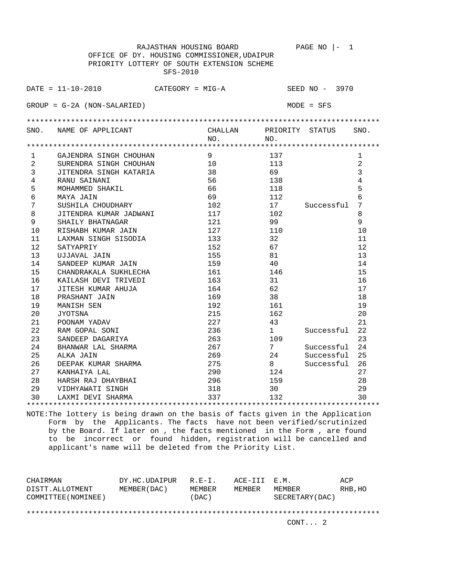|                | RAJASTHAN HOUSING BOARD                     |         |                 | PAGE NO<br>1   |              |
|----------------|---------------------------------------------|---------|-----------------|----------------|--------------|
|                | OFFICE OF DY. HOUSING COMMISSIONER, UDAIPUR |         |                 |                |              |
|                | PRIORITY LOTTERY OF SOUTH EXTENSION SCHEME  |         |                 |                |              |
|                | SFS-2010                                    |         |                 |                |              |
|                |                                             |         |                 |                |              |
|                | $DATA = 11 - 10 - 2010$<br>CATEGORY = MIG-A |         |                 | SEED NO - 3970 |              |
|                |                                             |         |                 |                |              |
|                | $GROUP = G-2A (NON-SALARIED)$               |         |                 | $MODE = SFS$   |              |
|                |                                             |         |                 |                |              |
|                |                                             |         |                 |                |              |
|                | SNO. NAME OF APPLICANT                      | CHALLAN | PRIORITY STATUS |                | SNO.         |
|                |                                             | NO.     | NO.             |                |              |
|                |                                             |         |                 |                |              |
| $\mathbf{1}$   | GAJENDRA SINGH CHOUHAN                      | 9       | 137             |                | $\mathbf{1}$ |
| $\overline{2}$ | SURENDRA SINGH CHOUHAN                      | 10      | 113             |                | 2            |
| 3              | JITENDRA SINGH KATARIA                      | 38      | 69              |                | 3            |
| 4              | RANU SAINANI                                | 56      | 138             |                | 4            |
| 5              | MOHAMMED SHAKIL                             | 66      | 118             |                | 5            |
| 6              | MAYA JAIN                                   | 69      | 112             |                | 6            |
| $\overline{7}$ | SUSHILA CHOUDHARY                           | 102     | 17              | Successful     | 7            |
| 8              | JITENDRA KUMAR JADWANI                      | 117     | 102             |                | 8            |
| 9              | SHAILY BHATNAGAR                            | 121     | 99              |                | 9            |
| 10             | RISHABH KUMAR JAIN                          | 127     | 110             |                | 10           |
| 11             | LAXMAN SINGH SISODIA                        | 133     | 32              |                | 11           |
| 12             | SATYAPRIY                                   | 152     | 67              |                | 12           |
| 13             | UJJAVAL JAIN                                | 155     | 81              |                | 13           |
| 14             | SANDEEP KUMAR JAIN                          | 159     | 40              |                | 14           |
| 15             | CHANDRAKALA SUKHLECHA                       | 161     | 146             |                | 15           |
| 16             | KAILASH DEVI TRIVEDI                        | 163     | 31              |                | 16           |
| 17             | JITESH KUMAR AHUJA                          | 164     | 62              |                | 17           |
| 18             | PRASHANT JAIN                               | 169     | 38              |                | 18           |
| 19             | MANISH SEN                                  | 192     | 161             |                | 19           |
| 20             | <b>JYOTSNA</b>                              | 215     | 162             |                | 20           |
| 21             | POONAM YADAV                                | 227     | 43              |                | 21           |
| 22             | RAM GOPAL SONI                              | 236     | $\mathbf{1}$    | Successful     | 22           |
| 23             | SANDEEP DAGARIYA                            | 263     | 109             |                | 23           |
| 24             | BHANWAR LAL SHARMA                          | 267     | 7               | Successful     | 24           |
| 25             | ALKA JAIN                                   | 269     | 24              | Successful     | 25           |
| 26             | DEEPAK KUMAR SHARMA                         | 275     | 8               | Successful     | 26           |
| 27             | KANHAIYA LAL                                | 290     | 124             |                | 27           |
| 28             | HARSH RAJ DHAYBHAI                          | 296     | 159             |                | 28           |
| 29             | VIDHYAWATI SINGH                            | 318     | 30              |                | 29           |
| 30             | LAXMI DEVI SHARMA                           | 337     | 132             |                | 30           |
|                |                                             |         |                 |                |              |

| CHAIRMAN<br>DISTT.ALLOTMENT | DY.HC.UDAIPUR<br>MEMBER (DAC) | $R.F - T$ .<br>MEMBER | ACE-III E.M.<br>MEMBER | MEMBER          | ACP<br>RHB, HO |
|-----------------------------|-------------------------------|-----------------------|------------------------|-----------------|----------------|
| COMMITTEE (NOMINEE)         |                               | (DAC)                 |                        | SECRETARY (DAC) |                |
|                             |                               |                       |                        | CONT. 2         |                |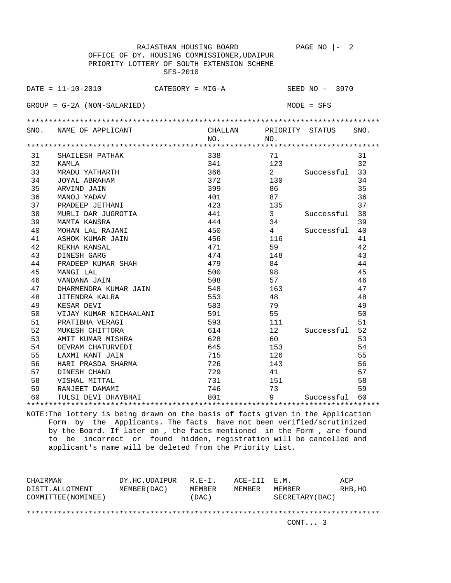RAJASTHAN HOUSING BOARD PAGE NO  $\vert - \vert$  2 OFFICE OF DY. HOUSING COMMISSIONER,UDAIPUR PRIORITY LOTTERY OF SOUTH EXTENSION SCHEME SFS-2010 DATE = 11-10-2010 CATEGORY = MIG-A SEED NO - 3970 GROUP = G-2A (NON-SALARIED) MODE = SFS \*\*\*\*\*\*\*\*\*\*\*\*\*\*\*\*\*\*\*\*\*\*\*\*\*\*\*\*\*\*\*\*\*\*\*\*\*\*\*\*\*\*\*\*\*\*\*\*\*\*\*\*\*\*\*\*\*\*\*\*\*\*\*\*\*\*\*\*\*\*\*\*\*\*\*\*\*\*\*\* SNO. NAME OF APPLICANT CHALLAN PRIORITY STATUS SNO.<br>NO. NO. NO. NO. \*\*\*\*\*\*\*\*\*\*\*\*\*\*\*\*\*\*\*\*\*\*\*\*\*\*\*\*\*\*\*\*\*\*\*\*\*\*\*\*\*\*\*\*\*\*\*\*\*\*\*\*\*\*\*\*\*\*\*\*\*\*\*\*\*\*\*\*\*\*\*\*\*\*\*\*\*\*\*\* 31 SHAILESH PATHAK 338 71 31 32 KAMLA 341 123 32 33 MRADU YATHARTH 366 2 Successful 33 34 JOYAL ABRAHAM 372 130 34 35 ARVIND JAIN 399 86 35 36 MANOJ YADAV 401 87 36 37 PRADEEP JETHANI 423 135 37 38 MURLI DAR JUGROTIA 441 3 Successful 38 39 MAMTA KANSRA 444 34 39 40 MOHAN LAL RAJANI 450 4 Successful 40 41 ASHOK KUMAR JAIN 456 116 41 42 REKHA KANSAL 471 59 42 43 DINESH GARG 474 148 43 44 PRADEEP KUMAR SHAH 479 84 44 45 MANGI LAL 500 98 45 46 VANDANA JAIN 508 57 46 47 DHARMENDRA KUMAR JAIN 548 163 47 48 JITENDRA KALRA 553 48 48 49 KESAR DEVI 583 79 49 50 VIJAY KUMAR NICHAALANI 591<br>51 PRATIBHA VERAGI 593<br>52 MUKESH CHITTORA 514 51 PRATIBHA VERAGI 593 111 51 52 MUKESH CHITTORA 614 12 Successful 52 53 AMIT KUMAR MISHRA 628 60 53 54 DEVRAM CHATURVEDI 645 645 153 54 55 LAXMI KANT JAIN 715 126 55 56 HARI PRASDA SHARMA 726 143 56 57 DINESH CHAND 729 41 57 58 VISHAL MITTAL 731 151 58 59 RANJEET DAMAMI 746 73 59 60 TULSI DEVI DHAYBHAI 801 9 Successful 60 \*\*\*\*\*\*\*\*\*\*\*\*\*\*\*\*\*\*\*\*\*\*\*\*\*\*\*\*\*\*\*\*\*\*\*\*\*\*\*\*\*\*\*\*\*\*\*\*\*\*\*\*\*\*\*\*\*\*\*\*\*\*\*\*\*\*\*\*\*\*\*\*\*\*\*\*\*\*\*\*

| CHAIRMAN            | DY.HC.UDAIPUR | $R.E-I.$ | ACE-III E.M. |                 | ACP     |
|---------------------|---------------|----------|--------------|-----------------|---------|
| DISTT.ALLOTMENT     | MEMBER (DAC)  | MEMBER   | MEMBER       | MEMBER          | RHB, HO |
| COMMITTEE (NOMINEE) |               | (DAC)    |              | SECRETARY (DAC) |         |
|                     |               |          |              |                 |         |
|                     |               |          |              |                 |         |
|                     |               |          |              | CONT. 3         |         |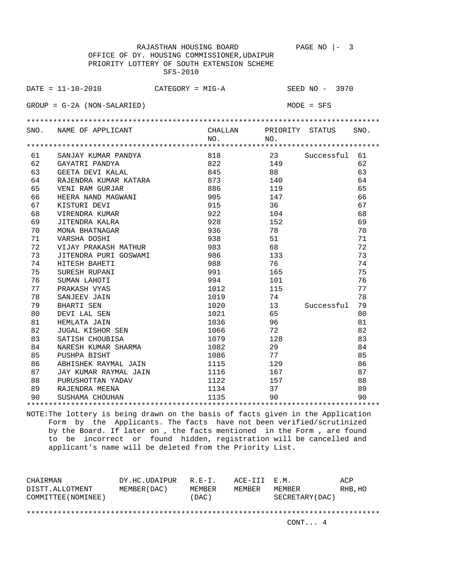RAJASTHAN HOUSING BOARD PAGE NO |- 3 OFFICE OF DY. HOUSING COMMISSIONER,UDAIPUR PRIORITY LOTTERY OF SOUTH EXTENSION SCHEME SFS-2010 DATE = 11-10-2010 CATEGORY = MIG-A SEED NO - 3970 GROUP = G-2A (NON-SALARIED) MODE = SFS \*\*\*\*\*\*\*\*\*\*\*\*\*\*\*\*\*\*\*\*\*\*\*\*\*\*\*\*\*\*\*\*\*\*\*\*\*\*\*\*\*\*\*\*\*\*\*\*\*\*\*\*\*\*\*\*\*\*\*\*\*\*\*\*\*\*\*\*\*\*\*\*\*\*\*\*\*\*\*\* SNO. NAME OF APPLICANT CHALLAN PRIORITY STATUS SNO. NO. NO. \*\*\*\*\*\*\*\*\*\*\*\*\*\*\*\*\*\*\*\*\*\*\*\*\*\*\*\*\*\*\*\*\*\*\*\*\*\*\*\*\*\*\*\*\*\*\*\*\*\*\*\*\*\*\*\*\*\*\*\*\*\*\*\*\*\*\*\*\*\*\*\*\*\*\*\*\*\*\*\* 61 SANJAY KUMAR PANDYA 818 23 Successful 61 62 GAYATRI PANDYA 822 149 62 63 GEETA DEVI KALAL 845 88 63 64 RAJENDRA KUMAR KATARA 873 140 64 65 VENI RAM GURJAR 886 119 65 65 VENIRAM GURJAR 886 119 65<br>
66 HEERA NAND MAGWANI 905 147 66<br>
67 KISTURI DEVI 915 36 67<br>
922 104 68<br>
59 JITENDRA KALRA 928 152 69 67 KISTURI DEVI 915 36 67 68 VIRENDRA KUMAR 922 104 68 69 JITENDRA KALRA 928 152 69 70 MONA BHATNAGAR 936 78 70 71 VARSHA DOSHI 938 51 71 1 VARSHA DOSHI<br>
72 VIJAY PRAKASH MATHUR 983 68 72<br>
73 JITENDRA PURI GOSWAMI 986 133 73<br>
74 HITESH BAHETI 988 76 74<br>
75 SURESH RUPANI 991 165 75<br>
76 SUMAN LAPOTI 994 101 76 73 JITENDRA PURI GOSWAMI 986 133 73 74 HITESH BAHETI 988 76 74 75 SURESH RUPANI 991 165 75 76 SUMAN LAHOTI 994 101 76 77 PRAKASH VYAS 1012 115 77 78 SANJEEV JAIN 1019 74 78 79 BHARTI SEN 1020 13 Successful 79 80 DEVI LAL SEN 1021 65 80 81 HEMLATA JAIN 1036 96 81 82 JUGAL KISHOR SEN 1066 72 82 83 SATISH CHOUBISA 1079 128 83 84 NARESH KUMAR SHARMA 1082 29 29 84 95 PUSHPA BISHT 1086 77<br>
86 ABHISHEK RAYMAL JAIN 1115 129 86<br>
87 JAY KUMAR RAYMAL JAIN 1116 167 87<br>
88 PURUSHOTTAN YADAV 1122 157 88<br>
89 PAJENDRA MEENA 1134 37 89 86 ABHISHEK RAYMAL JAIN 1115 129 129 86 87 JAY KUMAR RAYMAL JAIN 1116 167 167 167 87 88 PURUSHOTTAN YADAV 1122 157 157 88 89 RAJENDRA MEENA 1134 37 89 90 SUSHAMA CHOUHAN 1135 90 90 \*\*\*\*\*\*\*\*\*\*\*\*\*\*\*\*\*\*\*\*\*\*\*\*\*\*\*\*\*\*\*\*\*\*\*\*\*\*\*\*\*\*\*\*\*\*\*\*\*\*\*\*\*\*\*\*\*\*\*\*\*\*\*\*\*\*\*\*\*\*\*\*\*\*\*\*\*\*\*\*

| CHAIRMAN            | DY.HC.UDAIPUR | $R.E-I.$ | ACE-III E.M. |                 | ACP     |
|---------------------|---------------|----------|--------------|-----------------|---------|
| DISTT.ALLOTMENT     | MEMBER (DAC)  | MEMBER   | MEMBER       | MEMBER          | RHB, HO |
| COMMITTEE (NOMINEE) |               | (DAC)    |              | SECRETARY (DAC) |         |
|                     |               |          |              |                 |         |
|                     |               |          |              |                 |         |
|                     |               |          |              | CONT 4          |         |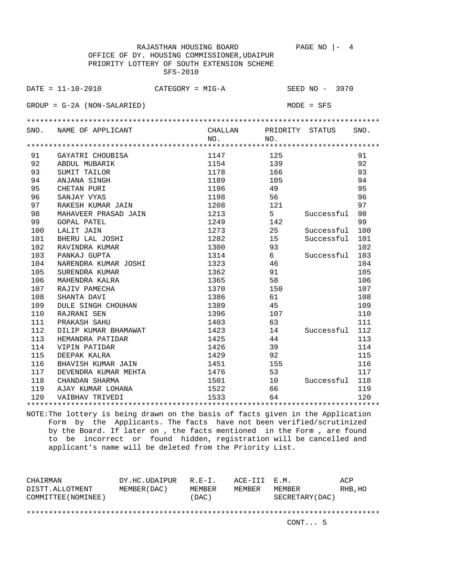|     | RAJASTHAN HOUSING BOARD                       |         |             | PAGE NO<br>4    |      |
|-----|-----------------------------------------------|---------|-------------|-----------------|------|
|     | OFFICE OF DY. HOUSING COMMISSIONER, UDAIPUR   |         |             |                 |      |
|     | PRIORITY LOTTERY OF SOUTH EXTENSION SCHEME    |         |             |                 |      |
|     | SFS-2010                                      |         |             |                 |      |
|     |                                               |         |             |                 |      |
|     | $DATA = 11 - 10 - 2010$<br>$CATEGORY = MIG-A$ |         |             | SEED NO - 3970  |      |
|     |                                               |         |             |                 |      |
|     | $GROUP = G-2A (NON-SALARIED)$                 |         |             | $MODE = SFS$    |      |
|     |                                               |         |             |                 |      |
|     |                                               |         |             |                 |      |
|     | SNO. NAME OF APPLICANT                        | CHALLAN |             | PRIORITY STATUS | SNO. |
|     |                                               | NO.     | NO.         |                 |      |
|     |                                               |         |             |                 |      |
| 91  | GAYATRI CHOUBISA                              | 1147    | 125         |                 | 91   |
| 92  | ABDUL MUBARIK                                 | 1154    | 139         |                 | 92   |
| 93  | SUMIT TAILOR                                  | 1178    | 166         |                 | 93   |
| 94  | ANJANA SINGH                                  | 1189    | 105         |                 | 94   |
| 95  | CHETAN PURI                                   | 1196    | 49          |                 | 95   |
| 96  | SANJAY VYAS                                   | 1198    | 56          |                 | 96   |
| 97  | RAKESH KUMAR JAIN                             | 1208    | 121         |                 | 97   |
| 98  | MAHAVEER PRASAD JAIN                          | 1213    | $5^{\circ}$ | Successful      | 98   |
| 99  | <b>GOPAL PATEL</b>                            | 1249    | 142         |                 | 99   |
| 100 | LALIT JAIN                                    | 1273    | 25          | Successful      | 100  |
| 101 | BHERU LAL JOSHI                               | 1282    | 15          | Successful      | 101  |
| 102 | RAVINDRA KUMAR                                | 1300    | 93          |                 | 102  |
| 103 | PANKAJ GUPTA                                  | 1314    | 6           | Successful      | 103  |
| 104 | NARENDRA KUMAR JOSHI                          | 1323    | 46          |                 | 104  |
| 105 | SURENDRA KUMAR                                | 1362    | 91          |                 | 105  |
| 106 | MAHENDRA KALRA                                | 1365    | 58          |                 | 106  |
| 107 | RAJIV PAMECHA                                 | 1370    | 150         |                 | 107  |
| 108 | SHANTA DAVI                                   | 1386    | 61          |                 | 108  |
| 109 | DULE SINGH CHOUHAN                            | 1389    | 45          |                 | 109  |
| 110 | RAJRANI SEN                                   | 1396    | 107         |                 | 110  |
| 111 | PRAKASH SAHU                                  | 1403    | 63          |                 | 111  |
| 112 | DILIP KUMAR BHAMAWAT                          | 1423    | 14          | Successful      | 112  |
| 113 | HEMANDRA PATIDAR                              | 1425    | 44          |                 | 113  |
| 114 | VIPIN PATIDAR                                 | 1426    | 39          |                 | 114  |
| 115 | DEEPAK KALRA                                  | 1429    | 92          |                 | 115  |
| 116 | BHAVISH KUMAR JAIN                            | 1451    | 155         |                 | 116  |
| 117 | DEVENDRA KUMAR MEHTA                          | 1476    | 53          |                 | 117  |
| 118 | CHANDAN SHARMA                                | 1501    | 10          | Successful      | 118  |
|     | 119 AJAY KUMAR LOHANA                         | 1522    | 66          |                 | 119  |
| 120 | VAIBHAV TRIVEDI                               | 1533    | 64          |                 | 120  |
|     |                                               |         |             |                 |      |

| CHAIRMAN<br>DISTT.ALLOTMENT<br>COMMITTEE (NOMINEE) | DY.HC.UDAIPUR<br>MEMBER (DAC) | $R.F - T$ .<br>MEMBER<br>(DAC) | ACE-III E.M.<br>MEMBER | MEMBER<br>SECRETARY (DAC) | ACP<br>RHB, HO |
|----------------------------------------------------|-------------------------------|--------------------------------|------------------------|---------------------------|----------------|
|                                                    |                               |                                |                        | CONT. 5                   |                |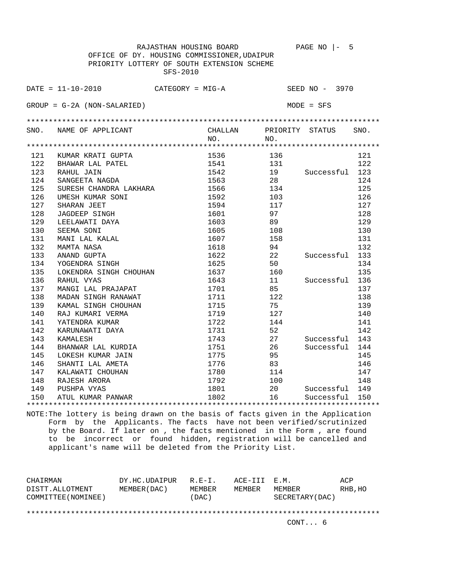RAJASTHAN HOUSING BOARD PAGE NO |- 5 OFFICE OF DY. HOUSING COMMISSIONER,UDAIPUR PRIORITY LOTTERY OF SOUTH EXTENSION SCHEME SFS-2010 DATE = 11-10-2010 CATEGORY = MIG-A SEED NO - 3970 GROUP = G-2A (NON-SALARIED) MODE = SFS \*\*\*\*\*\*\*\*\*\*\*\*\*\*\*\*\*\*\*\*\*\*\*\*\*\*\*\*\*\*\*\*\*\*\*\*\*\*\*\*\*\*\*\*\*\*\*\*\*\*\*\*\*\*\*\*\*\*\*\*\*\*\*\*\*\*\*\*\*\*\*\*\*\*\*\*\*\*\*\* SNO. NAME OF APPLICANT CHALLAN PRIORITY STATUS SNO.<br>NO. NO. NO. NO. \*\*\*\*\*\*\*\*\*\*\*\*\*\*\*\*\*\*\*\*\*\*\*\*\*\*\*\*\*\*\*\*\*\*\*\*\*\*\*\*\*\*\*\*\*\*\*\*\*\*\*\*\*\*\*\*\*\*\*\*\*\*\*\*\*\*\*\*\*\*\*\*\*\*\*\*\*\*\*\* 121 KUMAR KRATI GUPTA 1536 136 121 122 BHAWAR LAL PATEL 1541 131 122 123 RAHUL JAIN 1542 19 Successful 123 124 SANGEETA NAGDA 1563 28 28 124 125 SURESH CHANDRA LAKHARA 1566 134 125 126 UMESH KUMAR SONI 1592 103 126 127 SHARAN JEET 1594 117 127 127 128 JAGDEEP SINGH 1601 1601 97 128 129 LEELAWATI DAYA 1603 89 129 130 SEEMA SONI 1605 108 130 131 MANI LAL KALAL 1607 158 131 132 MAMTA NASA 1618 94 132 133 ANAND GUPTA 1622 22 Successful 133 134 YOGENDRA SINGH 1625 50 50 134 135 LOKENDRA SINGH CHOUHAN 1637 160 160 135 136 RAHUL VYAS 1643 11 Successful 136 137 MANGI LAL PRAJAPAT 1701 85 137 138 MADAN SINGH RANAWAT 1711 122 138 139 KAMAL SINGH CHOUHAN 1715 75 75 139 140 RAJ KUMARI VERMA 1719 127 140 141 YATENDRA KUMAR 1722 144 141 141 142 KARUNAWATI DAYA 1731 52 142 143 KAMALESH 1743 27 Successful 143 144 BHANWAR LAL KURDIA 1751 26 Successful 144 145 LOKESH KUMAR JAIN 1775 95 145 146 SHANTI LAL AMETA 1776 83 146 147 KALAWATI CHOUHAN 1780 114 1780 114 147 148 RAJESH ARORA 1792 100 148 149 PUSHPA VYAS 1801 20 Successful 149 150 ATUL KUMAR PANWAR 1802 1802 16 Successful 150 \*\*\*\*\*\*\*\*\*\*\*\*\*\*\*\*\*\*\*\*\*\*\*\*\*\*\*\*\*\*\*\*\*\*\*\*\*\*\*\*\*\*\*\*\*\*\*\*\*\*\*\*\*\*\*\*\*\*\*\*\*\*\*\*\*\*\*\*\*\*\*\*\*\*\*\*\*\*\*\*

| CHAIRMAN<br>DISTT.ALLOTMENT<br>COMMITTEE (NOMINEE) | DY.HC.UDAIPUR<br>MEMBER (DAC) | $R.F - T$ .<br>MEMBER<br>(DAC) | ACE-III E.M.<br>MEMBER | MEMBER<br>SECRETARY (DAC) | ACP<br>RHB, HO |
|----------------------------------------------------|-------------------------------|--------------------------------|------------------------|---------------------------|----------------|
|                                                    |                               |                                |                        |                           |                |
|                                                    |                               |                                |                        |                           |                |
|                                                    |                               |                                |                        | CONT 6                    |                |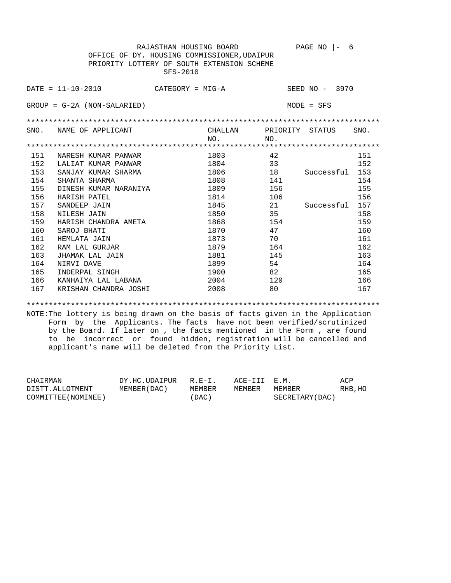RAJASTHAN HOUSING BOARD PAGE NO |- 6 OFFICE OF DY. HOUSING COMMISSIONER,UDAIPUR PRIORITY LOTTERY OF SOUTH EXTENSION SCHEME SFS-2010 DATE = 11-10-2010 CATEGORY = MIG-A SEED NO - 3970 GROUP = G-2A (NON-SALARIED) MODE = SFS \*\*\*\*\*\*\*\*\*\*\*\*\*\*\*\*\*\*\*\*\*\*\*\*\*\*\*\*\*\*\*\*\*\*\*\*\*\*\*\*\*\*\*\*\*\*\*\*\*\*\*\*\*\*\*\*\*\*\*\*\*\*\*\*\*\*\*\*\*\*\*\*\*\*\*\*\*\*\*\* SNO. NAME OF APPLICANT CHALLAN PRIORITY STATUS SNO. NO. NO. \*\*\*\*\*\*\*\*\*\*\*\*\*\*\*\*\*\*\*\*\*\*\*\*\*\*\*\*\*\*\*\*\*\*\*\*\*\*\*\*\*\*\*\*\*\*\*\*\*\*\*\*\*\*\*\*\*\*\*\*\*\*\*\*\*\*\*\*\*\*\*\*\*\*\*\*\*\*\*\* 151 NARESH KUMAR PANWAR 1803 42 1803 151 152 LALIAT KUMAR PANWAR 1804 1804 33 152 153 SANJAY KUMAR SHARMA 1806 18 Successful 153 154 SHANTA SHARMA 1808 141 154 155 DINESH KUMAR NARANIYA 1809 156 155 156 HARISH PATEL 1814 106 1814 106 157 SANDEEP JAIN 1845 21 Successful 157 158 NILESH JAIN 1850 35 158 159 HARISH CHANDRA AMETA 1868 154 159 160 SAROJ BHATI 1870 1870 47 160 161 HEMLATA JAIN 1873 70 161 162 RAM LAL GURJAR 1879 164 162 163 JHAMAK LAL JAIN 1881 145 163 164 NIRVI DAVE 1899 54 164 165 INDERPAL SINGH 1900 82 165 166 KANHAIYA LAL LABANA 2004 120 166 167 KRISHAN CHANDRA JOSHI 2008 80 167

\*\*\*\*\*\*\*\*\*\*\*\*\*\*\*\*\*\*\*\*\*\*\*\*\*\*\*\*\*\*\*\*\*\*\*\*\*\*\*\*\*\*\*\*\*\*\*\*\*\*\*\*\*\*\*\*\*\*\*\*\*\*\*\*\*\*\*\*\*\*\*\*\*\*\*\*\*\*\*\*

| CHAIRMAN            | DY.HC.UDAIPUR R.E-I. |        | ACE-III E.M. |                 | ACP     |
|---------------------|----------------------|--------|--------------|-----------------|---------|
| DISTT.ALLOTMENT     | MEMBER (DAC)         | MEMBER | MEMBER       | MEMBER          | RHB, HO |
| COMMITTEE (NOMINEE) |                      | (DAC)  |              | SECRETARY (DAC) |         |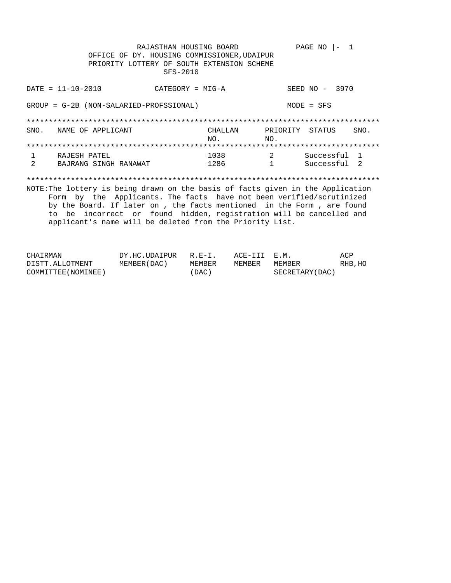RAJASTHAN HOUSING BOARD PAGE NO  $|-1$ OFFICE OF DY. HOUSING COMMISSIONER, UDAIPUR PRIORITY LOTTERY OF SOUTH EXTENSION SCHEME SFS-2010  $DATA = 11 - 10 - 2010$ SEED NO - 3970  $CATEGORY = MIG-A$ GROUP = G-2B (NON-SALARIED-PROFSSIONAL)  $MODE = SFS$ CHALLAN SNO. NAME OF APPLICANT PRIORITY STATUS SNO. NO.  $NO<sub>1</sub>$  $1038$  2 Successful 1  $\mathbf{1}$ RAJESH PATEL 1286  $\overline{2}$ BAJRANG SINGH RANAWAT  $1$ Successful 2 NOTE: The lottery is being drawn on the basis of facts given in the Application Form by the Applicants. The facts have not been verified/scrutinized by the Board. If later on , the facts mentioned in the Form , are found to be incorrect or found hidden, registration will be cancelled and applicant's name will be deleted from the Priority List.

| CHAIRMAN            | DY.HC.UDAIPUR R.E-I. |        | ACE-III E.M. |                 | ACP     |
|---------------------|----------------------|--------|--------------|-----------------|---------|
| DISTT.ALLOTMENT     | MEMBER (DAC)         | MEMBER | MEMBER       | MEMBER          | RHB, HO |
| COMMITTEE (NOMINEE) |                      | (DAC)  |              | SECRETARY (DAC) |         |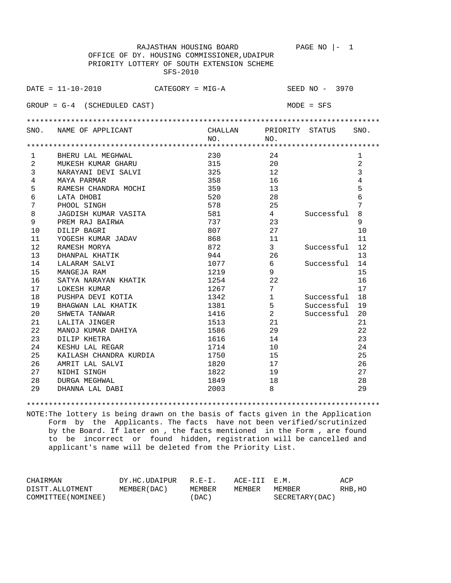| RAJASTHAN HOUSING BOARD<br>PAGE NO<br>1<br>$\vert -$ |                                             |         |                 |                |                |  |
|------------------------------------------------------|---------------------------------------------|---------|-----------------|----------------|----------------|--|
| OFFICE OF DY. HOUSING COMMISSIONER, UDAIPUR          |                                             |         |                 |                |                |  |
|                                                      | PRIORITY LOTTERY OF SOUTH EXTENSION SCHEME  |         |                 |                |                |  |
|                                                      | SFS-2010                                    |         |                 |                |                |  |
|                                                      |                                             |         |                 |                |                |  |
|                                                      | $DATA = 11 - 10 - 2010$<br>CATEGORY = MIG-A |         |                 | SEED NO - 3970 |                |  |
|                                                      |                                             |         |                 |                |                |  |
|                                                      | $GROUP = G-4$ (SCHEDULED CAST)              |         |                 | $MODE = SFS$   |                |  |
|                                                      |                                             |         |                 |                |                |  |
|                                                      |                                             |         |                 |                |                |  |
| SNO.                                                 | NAME OF APPLICANT                           | CHALLAN | PRIORITY STATUS |                | SNO.           |  |
|                                                      |                                             | NO.     | NO.             |                |                |  |
|                                                      |                                             |         |                 |                |                |  |
| 1                                                    | BHERU LAL MEGHWAL                           | 230     | 24              |                | 1              |  |
| 2                                                    | MUKESH KUMAR GHARU                          | 315     | 20              |                | $\overline{2}$ |  |
| 3                                                    | NARAYANI DEVI SALVI                         | 325     | 12              |                | 3              |  |
| $\overline{4}$                                       | MAYA PARMAR                                 | 358     | 16              |                | 4              |  |
| 5                                                    | RAMESH CHANDRA MOCHI                        | 359     | 13              |                | 5              |  |
| 6                                                    | LATA DHOBI                                  | 520     | 28              |                | 6              |  |
| 7                                                    | PHOOL SINGH                                 | 578     | 25              |                | 7              |  |
| 8                                                    | JAGDISH KUMAR VASITA                        | 581     | 4               | Successful     | 8              |  |
| 9                                                    | PREM RAJ BAIRWA                             | 737     | 23              |                | 9              |  |
| 10                                                   | DILIP BAGRI                                 | 807     | 27              |                | 10             |  |
| 11                                                   | YOGESH KUMAR JADAV                          | 868     | 11              |                | 11             |  |
| 12                                                   | RAMESH MORYA                                | 872     | 3               | Successful     | 12             |  |
| 13                                                   | DHANPAL KHATIK                              | 944     | 26              |                | 13             |  |
| 14                                                   | LALARAM SALVI                               | 1077    | 6               | Successful     | 14             |  |
| 15                                                   | MANGEJA RAM                                 | 1219    | 9               |                | 15             |  |
| 16                                                   | SATYA NARAYAN KHATIK                        | 1254    | 22              |                | 16             |  |
| 17                                                   | LOKESH KUMAR                                | 1267    | 7               |                | 17             |  |
| 18                                                   | PUSHPA DEVI KOTIA                           | 1342    | $\mathbf{1}$    | Successful     | 18             |  |
| 19                                                   | BHAGWAN LAL KHATIK                          | 1381    | 5               | Successful     | 19             |  |
| 20                                                   | SHWETA TANWAR                               | 1416    | $\overline{a}$  | Successful     | 20             |  |
| 21                                                   | LALITA JINGER                               | 1513    | 21              |                | 21             |  |
| 22                                                   | MANOJ KUMAR DAHIYA                          | 1586    | 29              |                | 22             |  |
| 23                                                   | DILIP KHETRA                                | 1616    | 14              |                | 23             |  |
| 24                                                   | KESHU LAL REGAR                             | 1714    | 10              |                | 24             |  |
| 25                                                   | KAILASH CHANDRA KURDIA                      | 1750    | 15              |                | 25             |  |
| 26                                                   | AMRIT LAL SALVI                             | 1820    | 17              |                | 26             |  |
| 27                                                   | NIDHI SINGH                                 | 1822    | 19              |                | 27             |  |
| 28                                                   | 1849<br>18<br>28<br>DURGA MEGHWAL           |         |                 |                |                |  |
| 29                                                   | DHANNA LAL DABI                             | 2003    | 8               |                | 29             |  |
|                                                      |                                             |         |                 |                |                |  |

\*\*\*\*\*\*\*\*\*\*\*\*\*\*\*\*\*\*\*\*\*\*\*\*\*\*\*\*\*\*\*\*\*\*\*\*\*\*\*\*\*\*\*\*\*\*\*\*\*\*\*\*\*\*\*\*\*\*\*\*\*\*\*\*\*\*\*\*\*\*\*\*\*\*\*\*\*\*\*\*

| CHAIRMAN            | DY.HC.UDAIPUR R.E-I. |        | ACE-III E.M. |                 | ACP     |
|---------------------|----------------------|--------|--------------|-----------------|---------|
| DISTT.ALLOTMENT     | MEMBER (DAC)         | MEMBER | MEMBER       | MEMBER          | RHB, HO |
| COMMITTEE (NOMINEE) |                      | (DAC)  |              | SECRETARY (DAC) |         |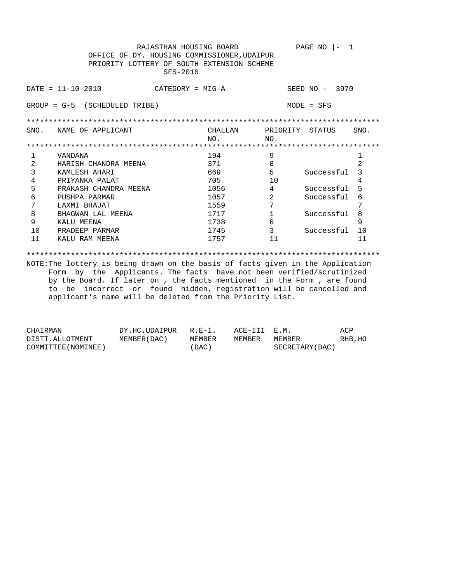RAJASTHAN HOUSING BOARD PAGE NO  $|-1$  OFFICE OF DY. HOUSING COMMISSIONER,UDAIPUR PRIORITY LOTTERY OF SOUTH EXTENSION SCHEME SFS-2010 DATE = 11-10-2010 CATEGORY = MIG-A SEED NO - 3970 GROUP = G-5 (SCHEDULED TRIBE) MODE = SFS \*\*\*\*\*\*\*\*\*\*\*\*\*\*\*\*\*\*\*\*\*\*\*\*\*\*\*\*\*\*\*\*\*\*\*\*\*\*\*\*\*\*\*\*\*\*\*\*\*\*\*\*\*\*\*\*\*\*\*\*\*\*\*\*\*\*\*\*\*\*\*\*\*\*\*\*\*\*\*\* SNO. NAME OF APPLICANT CHALLAN PRIORITY STATUS SNO. NO. NO. \*\*\*\*\*\*\*\*\*\*\*\*\*\*\*\*\*\*\*\*\*\*\*\*\*\*\*\*\*\*\*\*\*\*\*\*\*\*\*\*\*\*\*\*\*\*\*\*\*\*\*\*\*\*\*\*\*\*\*\*\*\*\*\*\*\*\*\*\*\*\*\*\*\*\*\*\*\*\*\* 1 VANDANA 194 9 1 2 HARISH CHANDRA MEENA 371 8 2 3 KAMLESH AHARI 669 5 Successful 3 4 PRIYANKA PALAT 10 10 4 5 PRAKASH CHANDRA MEENA 1056 4 Successful 5 6 PUSHPA PARMAR 1057 2 Successful 6 7 LAXMI BHAJAT 1559 7 7 8 BHAGWAN LAL MEENA 1717 1 Successful 8 9 KALU MEENA 1738 6 9 10 PRADEEP PARMAR 1745 1745 3 Successful 10 11 KALU RAM MEENA 1757 11 11

\*\*\*\*\*\*\*\*\*\*\*\*\*\*\*\*\*\*\*\*\*\*\*\*\*\*\*\*\*\*\*\*\*\*\*\*\*\*\*\*\*\*\*\*\*\*\*\*\*\*\*\*\*\*\*\*\*\*\*\*\*\*\*\*\*\*\*\*\*\*\*\*\*\*\*\*\*\*\*\*

| CHAIRMAN            | DY.HC.UDAIPUR | $R.F - T$ | ACE-III E.M. |                 | ACP     |
|---------------------|---------------|-----------|--------------|-----------------|---------|
| DISTT.ALLOTMENT     | MEMBER (DAC)  | MEMBER    | MEMBER       | MEMBER          | RHB, HO |
| COMMITTEE (NOMINEE) |               | (DAC)     |              | SECRETARY (DAC) |         |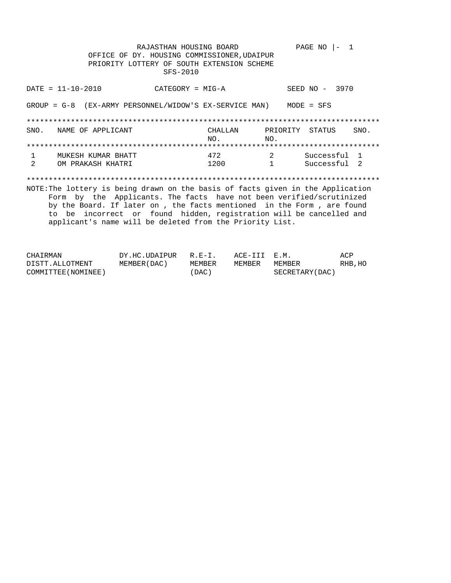RAJASTHAN HOUSING BOARD PAGE NO  $|-1$ OFFICE OF DY. HOUSING COMMISSIONER, UDAIPUR PRIORITY LOTTERY OF SOUTH EXTENSION SCHEME SFS-2010  $DATA = 11 - 10 - 2010$ SEED NO - 3970  $CATEGORY = MIG-A$ GROUP =  $G-8$  (EX-ARMY PERSONNEL/WIDOW'S EX-SERVICE MAN) MODE = SFS SNO. NAME OF APPLICANT CHALLAN PRIORITY STATUS SNO. NO. NO.  $\overline{a}$ Successful 1 MUKESH KUMAR BHATT  $\mathbf{1}$ 472  $\overline{2}$ OM PRAKASH KHATRI 1200  $1$ Successful 2 NOTE: The lottery is being drawn on the basis of facts given in the Application Form by the Applicants. The facts have not been verified/scrutinized by the Board. If later on , the facts mentioned in the Form , are found to be incorrect or found hidden, registration will be cancelled and applicant's name will be deleted from the Priority List.

| CHAIRMAN            | DY.HC.UDAIPUR R.E-I. |        | ACE-III E.M. |                 | ACP     |
|---------------------|----------------------|--------|--------------|-----------------|---------|
| DISTT.ALLOTMENT     | MEMBER (DAC)         | MEMBER | MEMBER       | MEMBER          | RHB, HO |
| COMMITTEE (NOMINEE) |                      | (DAC)  |              | SECRETARY (DAC) |         |